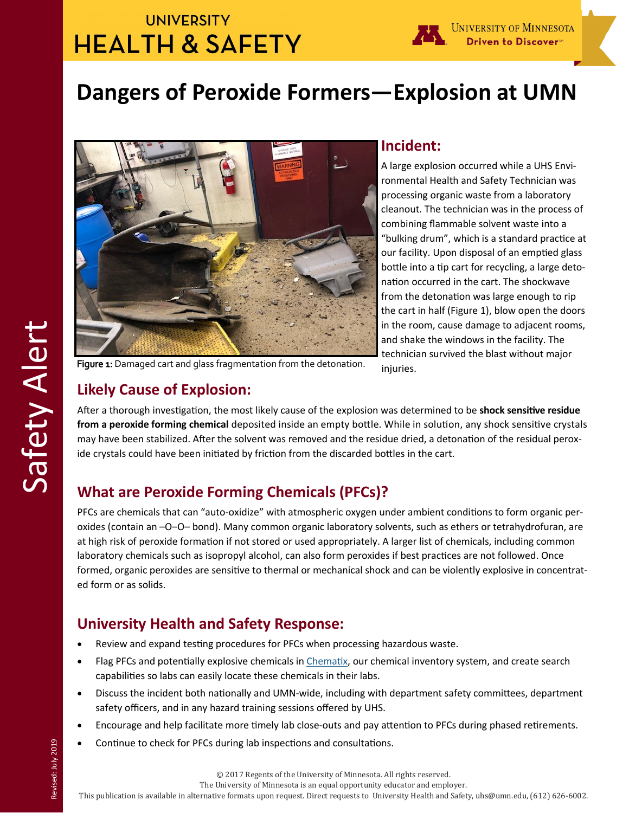## **UNIVERSITY HEALTH & SAFETY**



# **Dangers of Peroxide Formers—Explosion at UMN**



#### **Incident:**

A large explosion occurred while a UHS Environmental Health and Safety Technician was processing organic waste from a laboratory cleanout. The technician was in the process of combining flammable solvent waste into a "bulking drum", which is a standard practice at our facility. Upon disposal of an emptied glass bottle into a tip cart for recycling, a large detonation occurred in the cart. The shockwave from the detonation was large enough to rip the cart in half (Figure 1), blow open the doors in the room, cause damage to adjacent rooms, and shake the windows in the facility. The technician survived the blast without major injuries.

Figure 1: Damaged cart and glass fragmentation from the detonation.

### **Likely Cause of Explosion:**

After a thorough investigation, the most likely cause of the explosion was determined to be **shock sensitive residue from a peroxide forming chemical** deposited inside an empty bottle. While in solution, any shock sensitive crystals may have been stabilized. After the solvent was removed and the residue dried, a detonation of the residual peroxide crystals could have been initiated by friction from the discarded bottles in the cart.

### **What are Peroxide Forming Chemicals (PFCs)?**

PFCs are chemicals that can "auto-oxidize" with atmospheric oxygen under ambient conditions to form organic peroxides (contain an –O–O– bond). Many common organic laboratory solvents, such as ethers or tetrahydrofuran, are at high risk of peroxide formation if not stored or used appropriately. A larger list of chemicals, including common laboratory chemicals such as isopropyl alcohol, can also form peroxides if best practices are not followed. Once formed, organic peroxides are sensitive to thermal or mechanical shock and can be violently explosive in concentrated form or as solids.

### **University Health and Safety Response:**

- Review and expand testing procedures for PFCs when processing hazardous waste.
- Flag PFCs and potentially explosive chemicals in [Chematix,](https://www.dehs-tools.umn.edu/Chematix/) our chemical inventory system, and create search capabilities so labs can easily locate these chemicals in their labs.
- Discuss the incident both nationally and UMN-wide, including with department safety committees, department safety officers, and in any hazard training sessions offered by UHS.
- Encourage and help facilitate more timely lab close-outs and pay attention to PFCs during phased retirements.
- Continue to check for PFCs during lab inspections and consultations.

© 2017 Regents of the University of Minnesota. All rights reserved.

The University of Minnesota is an equal opportunity educator and employer.

This publication is available in alternative formats upon request. Direct requests to University Health and Safety, uhs@umn.edu, (612) 626-6002.